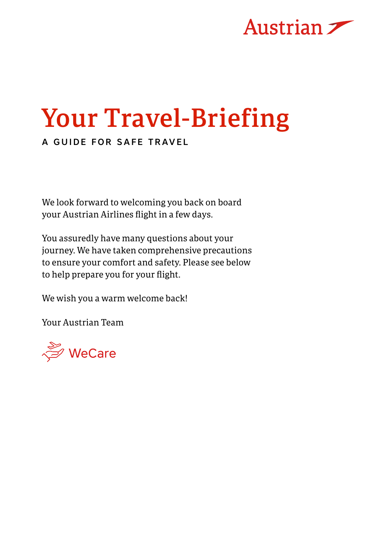

# Your Travel-Briefing

### A GUIDE FOR SAFE TRAVEL

We look forward to welcoming you back on board your Austrian Airlines flight in a few days.

You assuredly have many questions about your journey. We have taken comprehensive precautions to ensure your comfort and safety. Please see below to help prepare you for your flight.

We wish you a warm welcome back!

Your Austrian Team

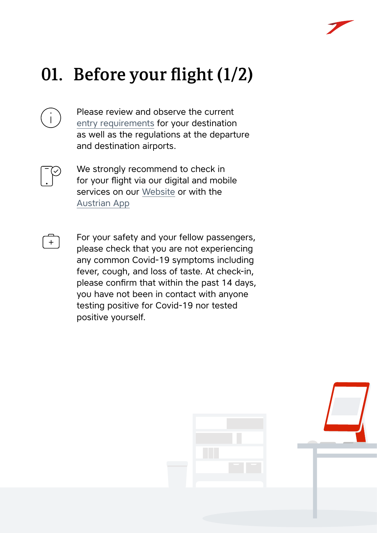

## 01. Before your flight (1/2)

Please review and observe the current [entry requirements](https://www.iatatravelcentre.com/) for your destination as well as the regulations at the departure and destination airports.



We strongly recommend to check in for your flight via our digital and mobile services on our [Website](https://www.austrian.com) or with the [Austrian App](https://www.austrian.com/Info/CheckIn_MobileServices/myAustrian%20Apps.aspx?sc_lang=en&cc=AT)



For your safety and your fellow passengers, please check that you are not experiencing any common Covid-19 symptoms including fever, cough, and loss of taste. At check-in, please confirm that within the past 14 days, you have not been in contact with anyone testing positive for Covid-19 nor tested positive yourself.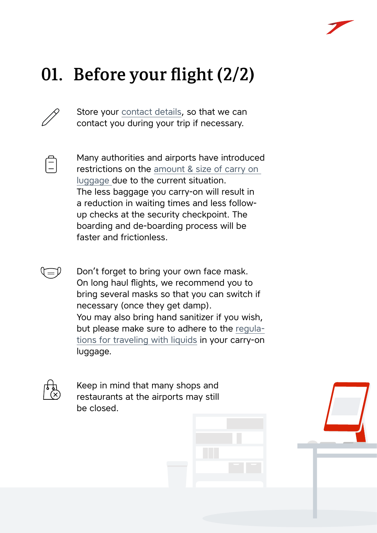

## 01. Before your flight (2/2)

Store your [contact details,](https://book.austrian.com/app/pr.fly?action=changelang&l=en) so that we can contact you during your trip if necessary.



Many authorities and airports have introduced restrictions on the [amount & size of carry on](https://www.austrian.com/at/en/carry-on-baggage)  [luggage d](https://www.austrian.com/at/en/carry-on-baggage)ue to the current situation. The less baggage you carry-on will result in a reduction in waiting times and less followup checks at the security checkpoint. The boarding and de-boarding process will be faster and frictionless.

Don't forget to bring your own face mask. On long haul flights, we recommend you to bring several masks so that you can switch if necessary (once they get damp). You may also bring hand sanitizer if you wish, but please make sure to adhere to the [regula](https://www.austrian.com/Info/Flying/carryonbaggage.aspx?sc_lang=en&cc=AT
)[tions for traveling with liquids](https://www.austrian.com/Info/Flying/carryonbaggage.aspx?sc_lang=en&cc=AT
) in your carry-on luggage.



Keep in mind that many shops and restaurants at the airports may still be closed.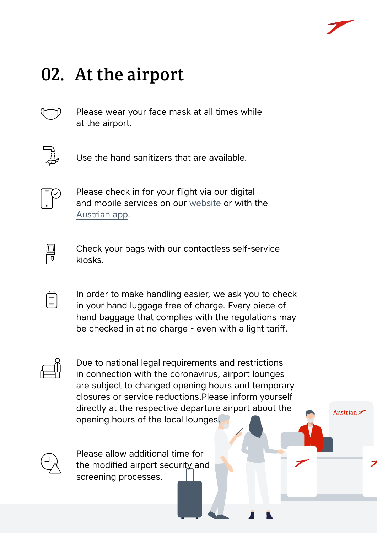Austrian  $\overline{\mathscr{S}}$ 

### 02. At the airport



Please wear your face mask at all times while at the airport.



Use the hand sanitizers that are available.



Please check in for your flight via our digital and mobile services on our [website](https://www.austrian.com/?sc_lang=en&cc=AT) or with the [Austrian app.](https://www.austrian.com/Info/CheckIn_MobileServices/myAustrian%20Apps.aspx?sc_lang=en&cc=AT)



Check your bags with our contactless self-service kiosks.

In order to make handling easier, we ask you to check in your hand luggage free of charge. Every piece of hand baggage that complies with the regulations may be checked in at no charge - even with a light tariff.



Due to national legal requirements and restrictions in connection with the coronavirus, airport lounges are subject to changed opening hours and temporary closures or service reductions.Please inform yourself directly at the respective departure airport about the opening hours of the local lounges.



Please allow additional time for the modified airport security and screening processes.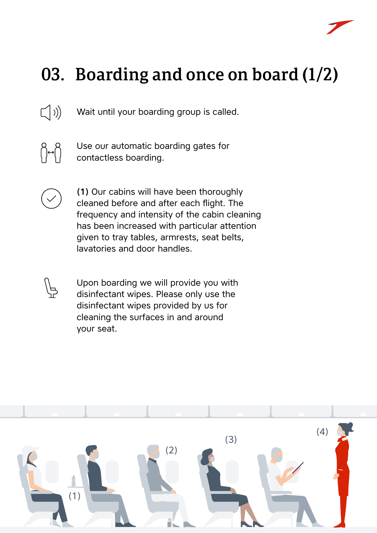

### 03. Boarding and once on board (1/2)

 $\left(\left(\begin{array}{c} 1 \end{array}\right)\right)$ Wait until your boarding group is called.



Use our automatic boarding gates for contactless boarding.



\P<br>∕¦D

(1) Our cabins will have been thoroughly cleaned before and after each flight. The frequency and intensity of the cabin cleaning has been increased with particular attention given to tray tables, armrests, seat belts, lavatories and door handles.

Upon boarding we will provide you with disinfectant wipes. Please only use the disinfectant wipes provided by us for cleaning the surfaces in and around your seat.

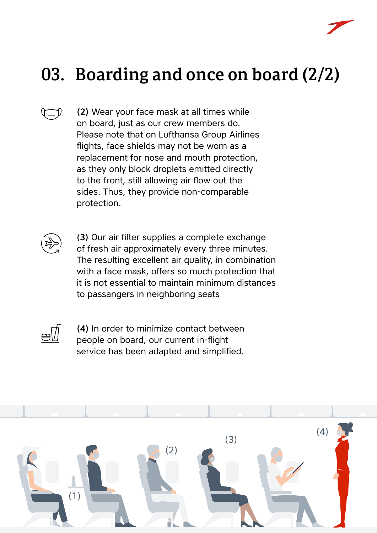

### 03. Boarding and once on board (2/2)

(2) Wear your face mask at all times while on board, just as our crew members do. Please note that on Lufthansa Group Airlines flights, face shields may not be worn as a replacement for nose and mouth protection, as they only block droplets emitted directly to the front, still allowing air flow out the sides. Thus, they provide non-comparable protection.



 $\overline{\mathbb{C}}$ 

(3) Our air filter supplies a complete exchange of fresh air approximately every three minutes. The resulting excellent air quality, in combination with a face mask, offers so much protection that it is not essential to maintain minimum distances to passangers in neighboring seats



(4) In order to minimize contact between people on board, our current in-flight service has been adapted and simplified.